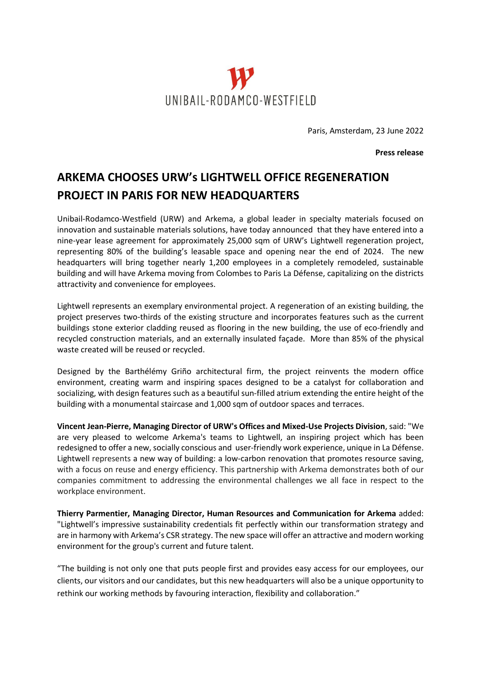

Paris, Amsterdam, 23 June 2022

**Press release**

## **ARKEMA CHOOSES URW's LIGHTWELL OFFICE REGENERATION PROJECT IN PARIS FOR NEW HEADQUARTERS**

Unibail-Rodamco-Westfield (URW) and Arkema, a global leader in specialty materials focused on innovation and sustainable materials solutions, have today announced that they have entered into a nine-year lease agreement for approximately 25,000 sqm of URW's Lightwell regeneration project, representing 80% of the building's leasable space and opening near the end of 2024. The new headquarters will bring together nearly 1,200 employees in a completely remodeled, sustainable building and will have Arkema moving from Colombes to Paris La Défense, capitalizing on the districts attractivity and convenience for employees.

Lightwell represents an exemplary environmental project. A regeneration of an existing building, the project preserves two-thirds of the existing structure and incorporates features such as the current buildings stone exterior cladding reused as flooring in the new building, the use of eco-friendly and recycled construction materials, and an externally insulated façade. More than 85% of the physical waste created will be reused or recycled.

Designed by the Barthélémy Griño architectural firm, the project reinvents the modern office environment, creating warm and inspiring spaces designed to be a catalyst for collaboration and socializing, with design features such as a beautiful sun-filled atrium extending the entire height of the building with a monumental staircase and 1,000 sqm of outdoor spaces and terraces.

**Vincent Jean-Pierre, Managing Director of URW's Offices and Mixed-Use Projects Division**, said: "We are very pleased to welcome Arkema's teams to Lightwell, an inspiring project which has been redesigned to offer a new, socially conscious and user-friendly work experience, unique in La Défense. Lightwell represents a new way of building: a low-carbon renovation that promotes resource saving, with a focus on reuse and energy efficiency. This partnership with Arkema demonstrates both of our companies commitment to addressing the environmental challenges we all face in respect to the workplace environment.

**Thierry Parmentier, Managing Director, Human Resources and Communication for Arkema** added: "Lightwell's impressive sustainability credentials fit perfectly within our transformation strategy and are in harmony with Arkema's CSR strategy. The new space will offer an attractive and modern working environment for the group's current and future talent.

"The building is not only one that puts people first and provides easy access for our employees, our clients, our visitors and our candidates, but this new headquarters will also be a unique opportunity to rethink our working methods by favouring interaction, flexibility and collaboration."